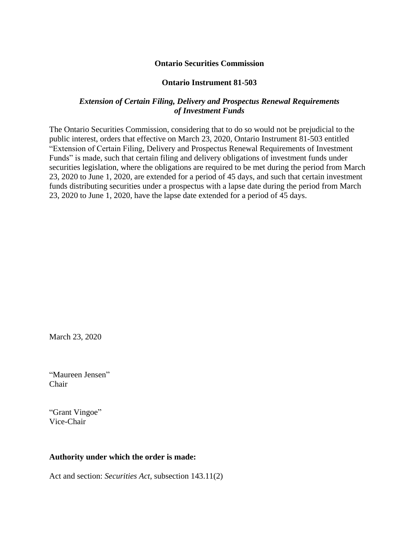#### **Ontario Securities Commission**

#### **Ontario Instrument 81-503**

#### *Extension of Certain Filing, Delivery and Prospectus Renewal Requirements of Investment Funds*

The Ontario Securities Commission, considering that to do so would not be prejudicial to the public interest, orders that effective on March 23, 2020, Ontario Instrument 81-503 entitled "Extension of Certain Filing, Delivery and Prospectus Renewal Requirements of Investment Funds" is made, such that certain filing and delivery obligations of investment funds under securities legislation, where the obligations are required to be met during the period from March 23, 2020 to June 1, 2020, are extended for a period of 45 days, and such that certain investment funds distributing securities under a prospectus with a lapse date during the period from March 23, 2020 to June 1, 2020, have the lapse date extended for a period of 45 days.

March 23, 2020

"Maureen Jensen" Chair

"Grant Vingoe" Vice-Chair

#### **Authority under which the order is made:**

Act and section: *Securities Act*, subsection 143.11(2)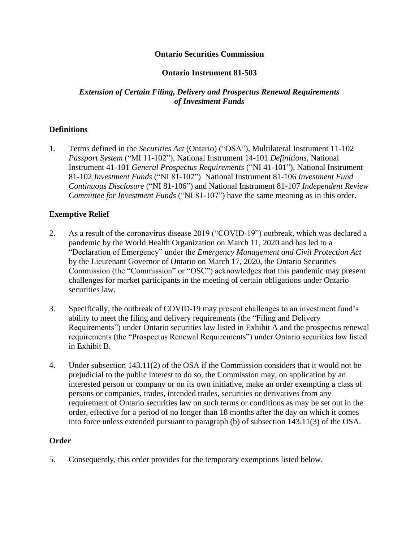# **Ontario Securities Commission**

# **Ontario Instrument 81-503**

# *Extension of Certain Filing, Delivery and Prospectus Renewal Requirements of Investment Funds*

## **Definitions**

1. Terms defined in the *Securities Act* (Ontario) ("OSA"), Multilateral Instrument 11-102 *Passport System* ("MI 11-102"), National Instrument 14-101 *Definitions*, National Instrument 41-101 *General Prospectus Requirements* ("NI 41-101"), National Instrument 81-102 *Investment Funds* ("NI 81-102") National Instrument 81-106 *Investment Fund Continuous Disclosure* ("NI 81-106") and National Instrument 81-107 *Independent Review Committee for Investment Funds* ("NI 81-107") have the same meaning as in this order.

## **Exemptive Relief**

- 2. As a result of the coronavirus disease 2019 ("COVID-19") outbreak, which was declared a pandemic by the World Health Organization on March 11, 2020 and has led to a "Declaration of Emergency" under the *Emergency Management and Civil Protection Act* by the Lieutenant Governor of Ontario on March 17, 2020, the Ontario Securities Commission (the "Commission" or "OSC") acknowledges that this pandemic may present challenges for market participants in the meeting of certain obligations under Ontario securities law.
- 3. Specifically, the outbreak of COVID-19 may present challenges to an investment fund's ability to meet the filing and delivery requirements (the "Filing and Delivery Requirements") under Ontario securities law listed in Exhibit A and the prospectus renewal requirements (the "Prospectus Renewal Requirements") under Ontario securities law listed in Exhibit B.
- 4. Under subsection 143.11(2) of the OSA if the Commission considers that it would not be prejudicial to the public interest to do so, the Commission may, on application by an interested person or company or on its own initiative, make an order exempting a class of persons or companies, trades, intended trades, securities or derivatives from any requirement of Ontario securities law on such terms or conditions as may be set out in the order, effective for a period of no longer than 18 months after the day on which it comes into force unless extended pursuant to paragraph (b) of subsection 143.11(3) of the OSA.

#### **Order**

5. Consequently, this order provides for the temporary exemptions listed below.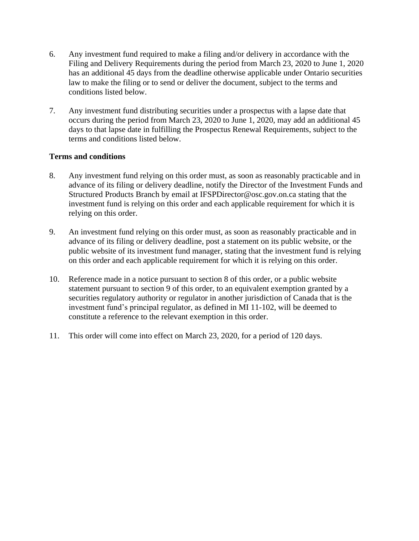- 6. Any investment fund required to make a filing and/or delivery in accordance with the Filing and Delivery Requirements during the period from March 23, 2020 to June 1, 2020 has an additional 45 days from the deadline otherwise applicable under Ontario securities law to make the filing or to send or deliver the document, subject to the terms and conditions listed below.
- 7. Any investment fund distributing securities under a prospectus with a lapse date that occurs during the period from March 23, 2020 to June 1, 2020, may add an additional 45 days to that lapse date in fulfilling the Prospectus Renewal Requirements, subject to the terms and conditions listed below.

## **Terms and conditions**

- 8. Any investment fund relying on this order must, as soon as reasonably practicable and in advance of its filing or delivery deadline, notify the Director of the Investment Funds and Structured Products Branch by email at IFSPDirector@osc.gov.on.ca stating that the investment fund is relying on this order and each applicable requirement for which it is relying on this order.
- 9. An investment fund relying on this order must, as soon as reasonably practicable and in advance of its filing or delivery deadline, post a statement on its public website, or the public website of its investment fund manager, stating that the investment fund is relying on this order and each applicable requirement for which it is relying on this order.
- 10. Reference made in a notice pursuant to section 8 of this order, or a public website statement pursuant to section 9 of this order, to an equivalent exemption granted by a securities regulatory authority or regulator in another jurisdiction of Canada that is the investment fund's principal regulator, as defined in MI 11-102, will be deemed to constitute a reference to the relevant exemption in this order.
- 11. This order will come into effect on March 23, 2020, for a period of 120 days.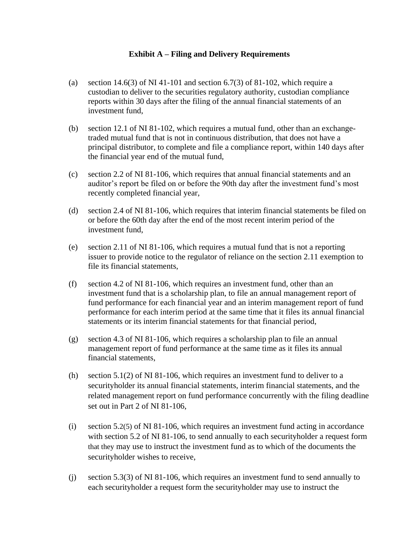## **Exhibit A – Filing and Delivery Requirements**

- (a) section  $14.6(3)$  of NI 41-101 and section 6.7(3) of 81-102, which require a custodian to deliver to the securities regulatory authority, custodian compliance reports within 30 days after the filing of the annual financial statements of an investment fund,
- (b) section 12.1 of NI 81-102, which requires a mutual fund, other than an exchangetraded mutual fund that is not in continuous distribution, that does not have a principal distributor, to complete and file a compliance report, within 140 days after the financial year end of the mutual fund,
- (c) section 2.2 of NI 81-106, which requires that annual financial statements and an auditor's report be filed on or before the 90th day after the investment fund's most recently completed financial year,
- (d) section 2.4 of NI 81-106, which requires that interim financial statements be filed on or before the 60th day after the end of the most recent interim period of the investment fund,
- (e) section 2.11 of NI 81-106, which requires a mutual fund that is not a reporting issuer to provide notice to the regulator of reliance on the section 2.11 exemption to file its financial statements,
- (f) section 4.2 of NI 81-106, which requires an investment fund, other than an investment fund that is a scholarship plan, to file an annual management report of fund performance for each financial year and an interim management report of fund performance for each interim period at the same time that it files its annual financial statements or its interim financial statements for that financial period,
- (g) section 4.3 of NI 81-106, which requires a scholarship plan to file an annual management report of fund performance at the same time as it files its annual financial statements,
- (h) section 5.1(2) of NI 81-106, which requires an investment fund to deliver to a securityholder its annual financial statements, interim financial statements, and the related management report on fund performance concurrently with the filing deadline set out in Part 2 of NI 81-106,
- (i) section 5.2(5) of NI 81-106, which requires an investment fund acting in accordance with section 5.2 of NI 81-106, to send annually to each securityholder a request form that they may use to instruct the investment fund as to which of the documents the securityholder wishes to receive,
- (j) section 5.3(3) of NI 81-106, which requires an investment fund to send annually to each securityholder a request form the securityholder may use to instruct the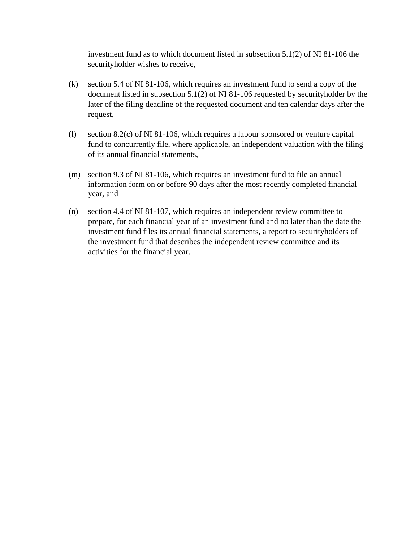investment fund as to which document listed in subsection 5.1(2) of NI 81-106 the securityholder wishes to receive,

- (k) section 5.4 of NI 81-106, which requires an investment fund to send a copy of the document listed in subsection 5.1(2) of NI 81-106 requested by securityholder by the later of the filing deadline of the requested document and ten calendar days after the request,
- (l) section 8.2(c) of NI 81-106, which requires a labour sponsored or venture capital fund to concurrently file, where applicable, an independent valuation with the filing of its annual financial statements,
- (m) section 9.3 of NI 81-106, which requires an investment fund to file an annual information form on or before 90 days after the most recently completed financial year, and
- (n) section 4.4 of NI 81-107, which requires an independent review committee to prepare, for each financial year of an investment fund and no later than the date the investment fund files its annual financial statements, a report to securityholders of the investment fund that describes the independent review committee and its activities for the financial year.